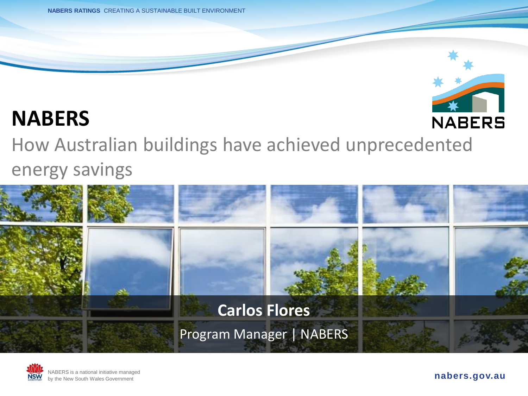**NABERS RATINGS** CREATING A SUSTAINABLE BUILT ENVIRONMENT



#### **NABERS**

How Australian buildings have achieved unprecedented energy savings





**nabers.gov.au**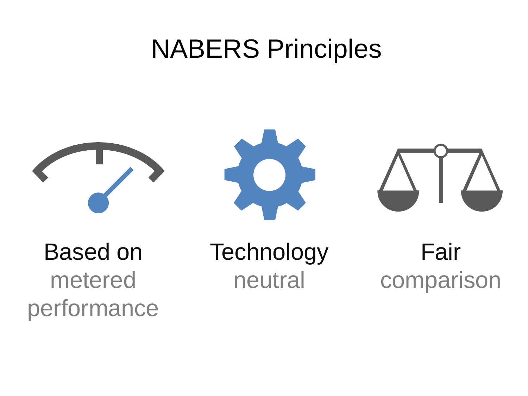## NABERS Principles



Based on metered performance **Technology** neutral

Fair comparison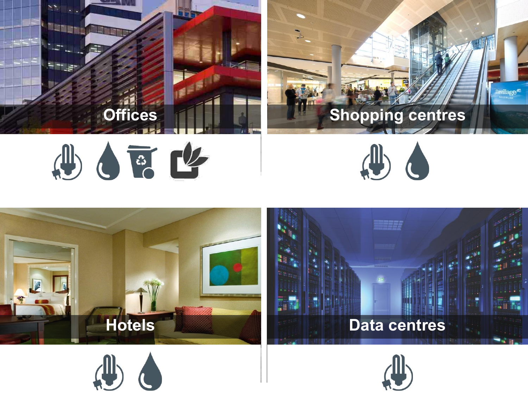











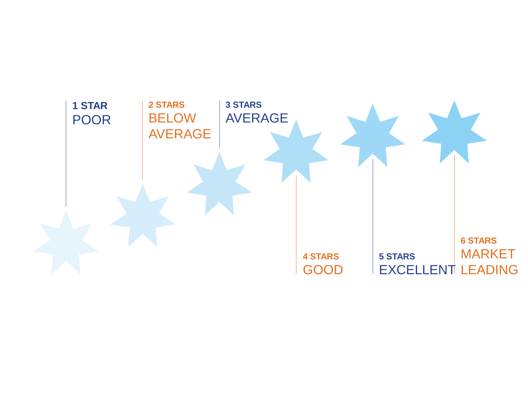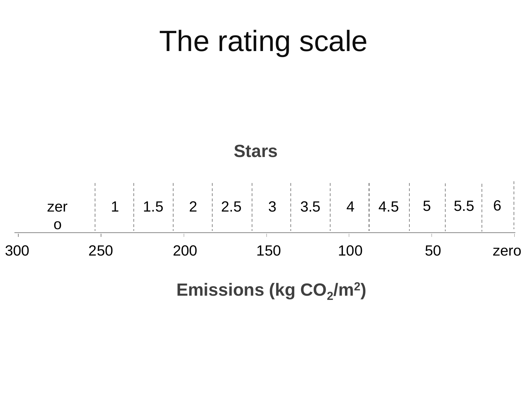## The rating scale



Emissions (kg CO<sub>2</sub>/m<sup>2</sup>)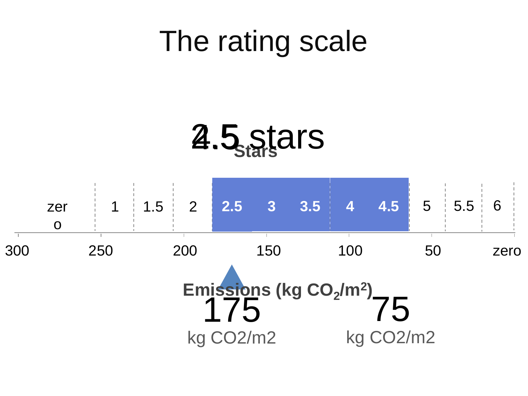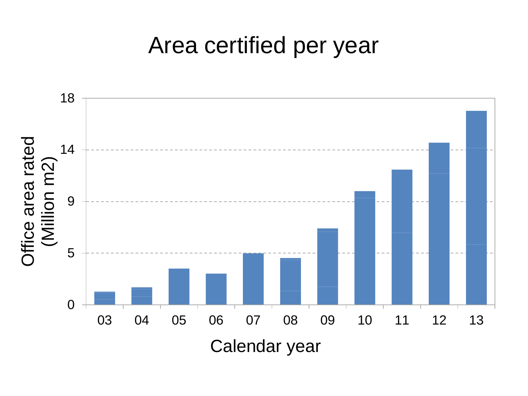### Area certified per year

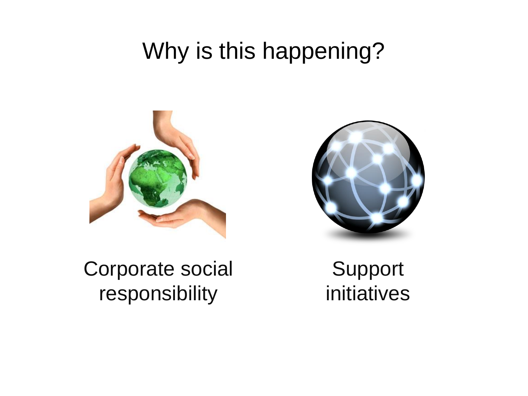### Why is this happening?





Corporate social responsibility

Support initiatives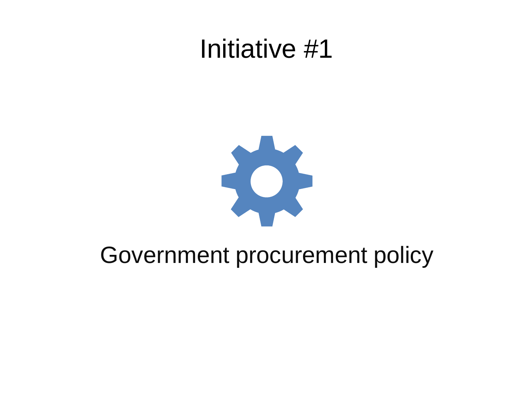## Initiative #1



#### Government procurement policy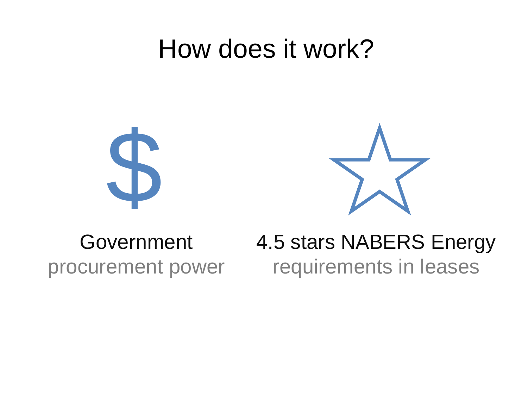## How does it work?





#### Government procurement power

#### 4.5 stars NABERS Energy requirements in leases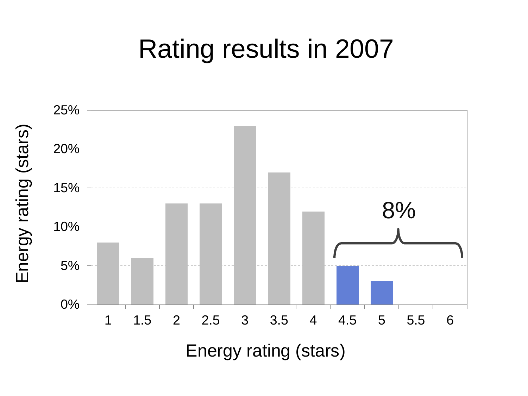## Rating results in 2007

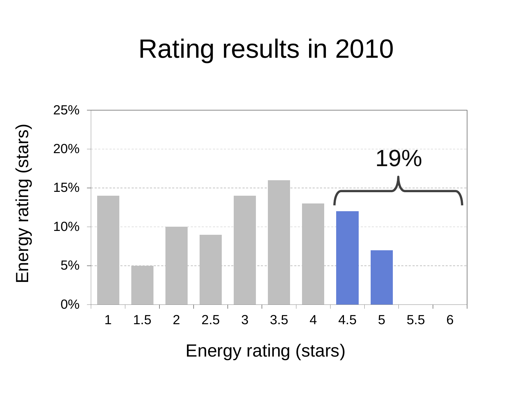## Rating results in 2010

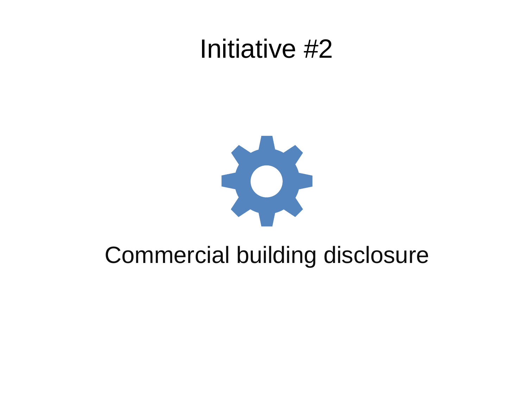### Initiative #2



### Commercial building disclosure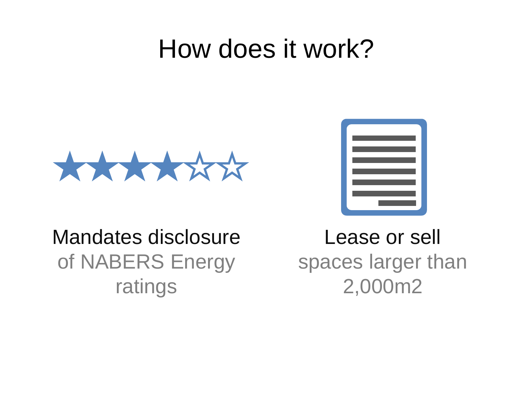## How does it work?





#### Mandates disclosure of NABERS Energy ratings

Lease or sell spaces larger than 2,000m2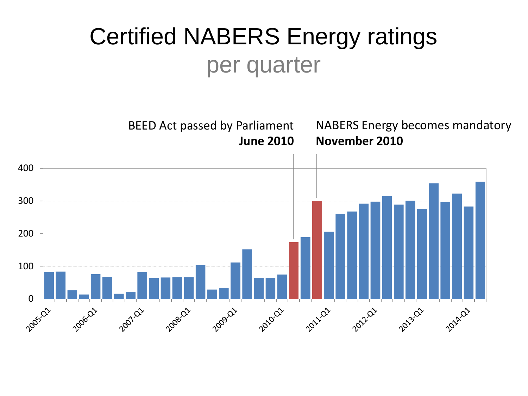### Certified NABERS Energy ratings per quarter

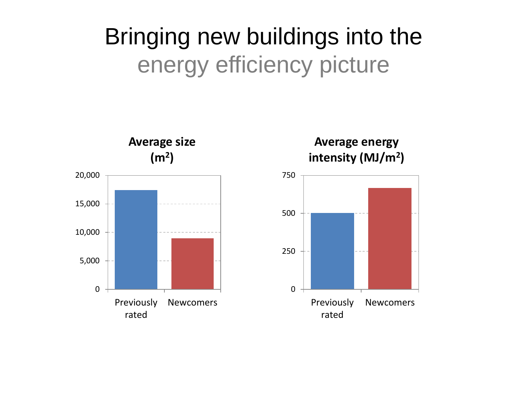### Bringing new buildings into the energy efficiency picture



**Average energy intensity (MJ/m<sup>2</sup> )**

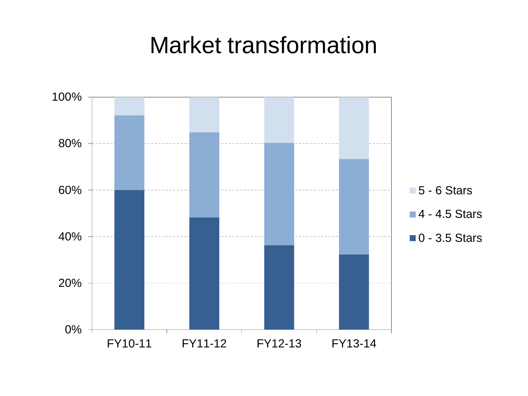#### Market transformation

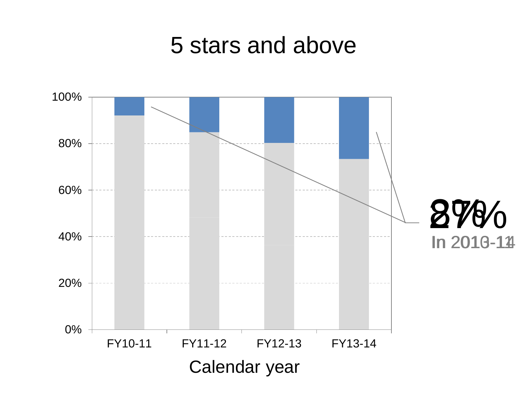#### 5 stars and above

![](_page_17_Figure_1.jpeg)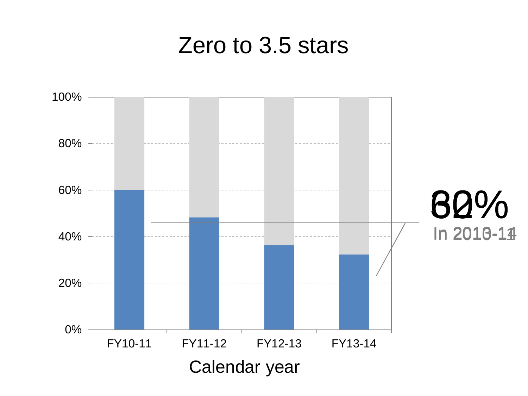#### Zero to 3.5 stars

![](_page_18_Figure_1.jpeg)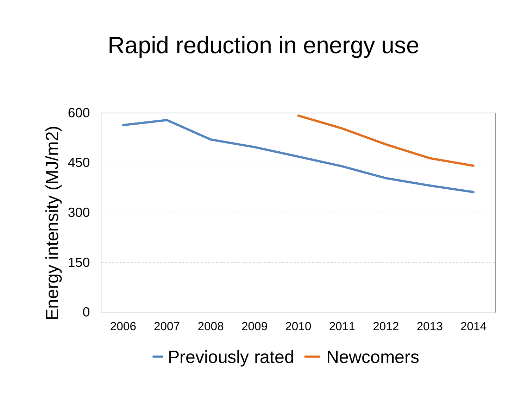### Rapid reduction in energy use

![](_page_19_Figure_1.jpeg)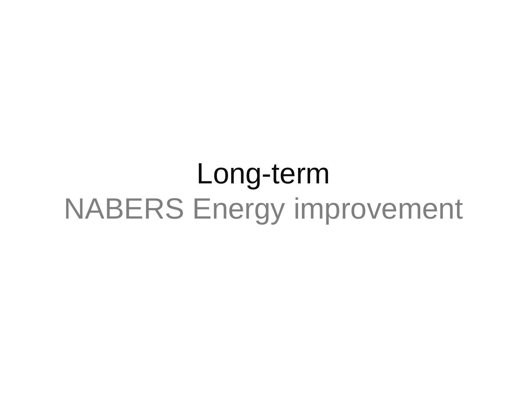# Long-term NABERS Energy improvement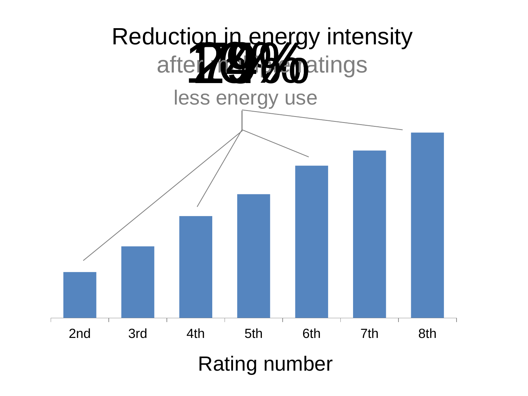![](_page_21_Figure_0.jpeg)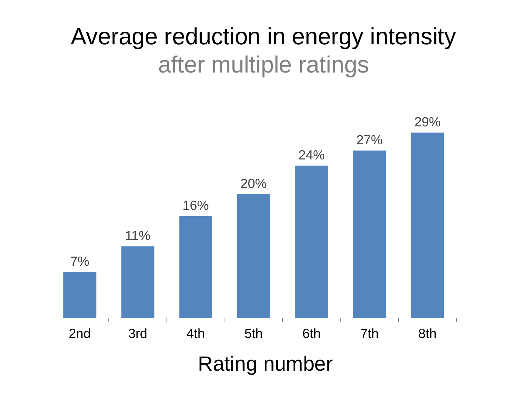### Average reduction in energy intensity after multiple ratings

![](_page_22_Figure_1.jpeg)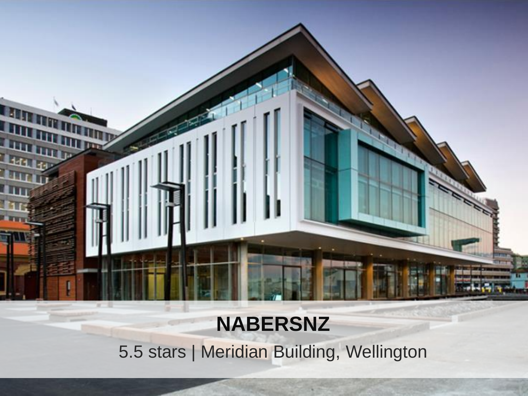![](_page_23_Picture_0.jpeg)

#### **NABERSNZ**

5.5 stars | Meridian Building, Wellington